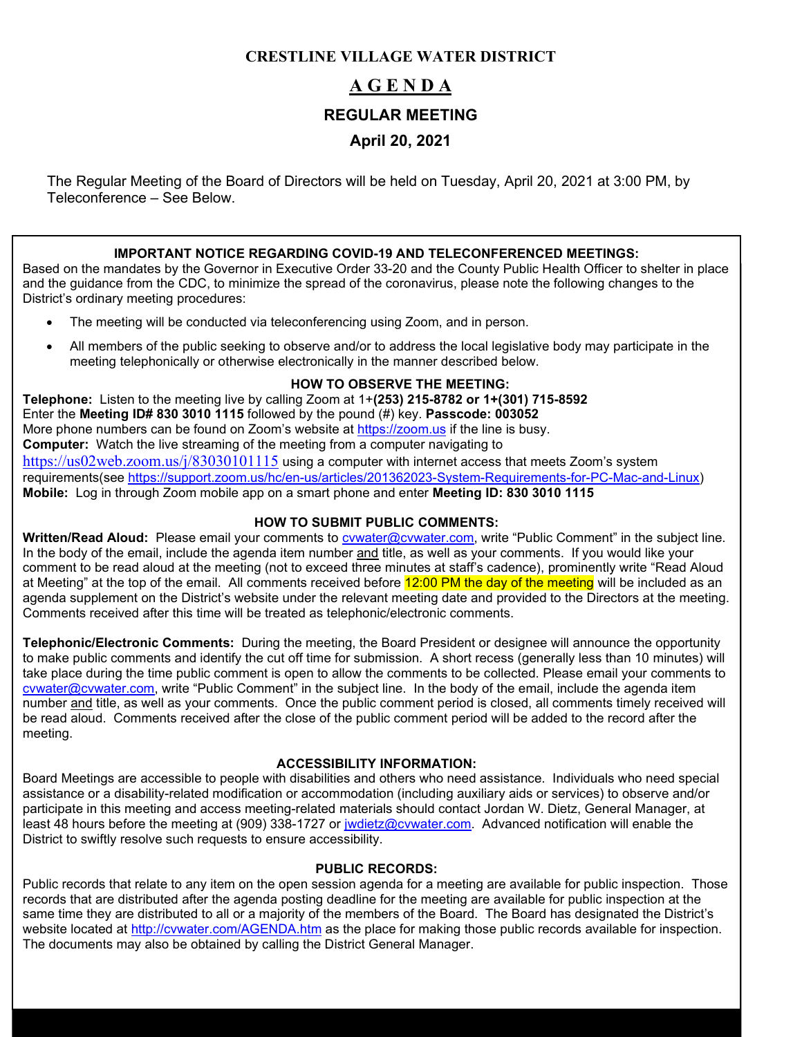# **CRESTLINE VILLAGE WATER DISTRICT**

# **A G E N D A REGULAR MEETING April 20, 2021**

The Regular Meeting of the Board of Directors will be held on Tuesday, April 20, 2021 at 3:00 PM, by Teleconference – See Below.

### **IMPORTANT NOTICE REGARDING COVID-19 AND TELECONFERENCED MEETINGS:**

Based on the mandates by the Governor in Executive Order 33-20 and the County Public Health Officer to shelter in place and the guidance from the CDC, to minimize the spread of the coronavirus, please note the following changes to the District's ordinary meeting procedures:

- The meeting will be conducted via teleconferencing using Zoom, and in person.
- All members of the public seeking to observe and/or to address the local legislative body may participate in the meeting telephonically or otherwise electronically in the manner described below.

### **HOW TO OBSERVE THE MEETING:**

**Telephone:** Listen to the meeting live by calling Zoom at 1+**(253) 215-8782 or 1+(301) 715-8592** Enter the **Meeting ID# 830 3010 1115** followed by the pound (#) key. **Passcode: 003052** More phone numbers can be found on Zoom's website at [https://zoom.us](https://zoom.us/) if the line is busy. **Computer:** Watch the live streaming of the meeting from a computer navigating to <https://us02web.zoom.us/j/83030101115> using a computer with internet access that meets Zoom's system requirements(see [https://support.zoom.us/hc/en-us/articles/201362023-System-Requirements-for-PC-Mac-and-Linux\)](https://support.zoom.us/hc/en-us/articles/201362023-System-Requirements-for-PC-Mac-and-Linux) **Mobile:** Log in through Zoom mobile app on a smart phone and enter **Meeting ID: 830 3010 1115**

### **HOW TO SUBMIT PUBLIC COMMENTS:**

Written/Read Aloud: Please email your comments to *cywater@cywater.com*, write "Public Comment" in the subject line. In the body of the email, include the agenda item number and title, as well as your comments. If you would like your comment to be read aloud at the meeting (not to exceed three minutes at staff's cadence), prominently write "Read Aloud at Meeting" at the top of the email. All comments received before 12:00 PM the day of the meeting will be included as an agenda supplement on the District's website under the relevant meeting date and provided to the Directors at the meeting. Comments received after this time will be treated as telephonic/electronic comments.

**Telephonic/Electronic Comments:** During the meeting, the Board President or designee will announce the opportunity to make public comments and identify the cut off time for submission. A short recess (generally less than 10 minutes) will take place during the time public comment is open to allow the comments to be collected. Please email your comments to [cvwater@cvwater.com,](mailto:cvwater@cvwater.com) write "Public Comment" in the subject line. In the body of the email, include the agenda item number and title, as well as your comments. Once the public comment period is closed, all comments timely received will be read aloud. Comments received after the close of the public comment period will be added to the record after the meeting.

### **ACCESSIBILITY INFORMATION:**

Board Meetings are accessible to people with disabilities and others who need assistance. Individuals who need special assistance or a disability-related modification or accommodation (including auxiliary aids or services) to observe and/or participate in this meeting and access meeting-related materials should contact Jordan W. Dietz, General Manager, at least 48 hours before the meeting at (909) 338-1727 or [jwdietz@cvwater.com.](mailto:jwdietz@cvwater.com) Advanced notification will enable the District to swiftly resolve such requests to ensure accessibility.

### **PUBLIC RECORDS:**

Public records that relate to any item on the open session agenda for a meeting are available for public inspection. Those records that are distributed after the agenda posting deadline for the meeting are available for public inspection at the same time they are distributed to all or a majority of the members of the Board. The Board has designated the District's website located at<http://cvwater.com/AGENDA.htm> as the place for making those public records available for inspection. The documents may also be obtained by calling the District General Manager.